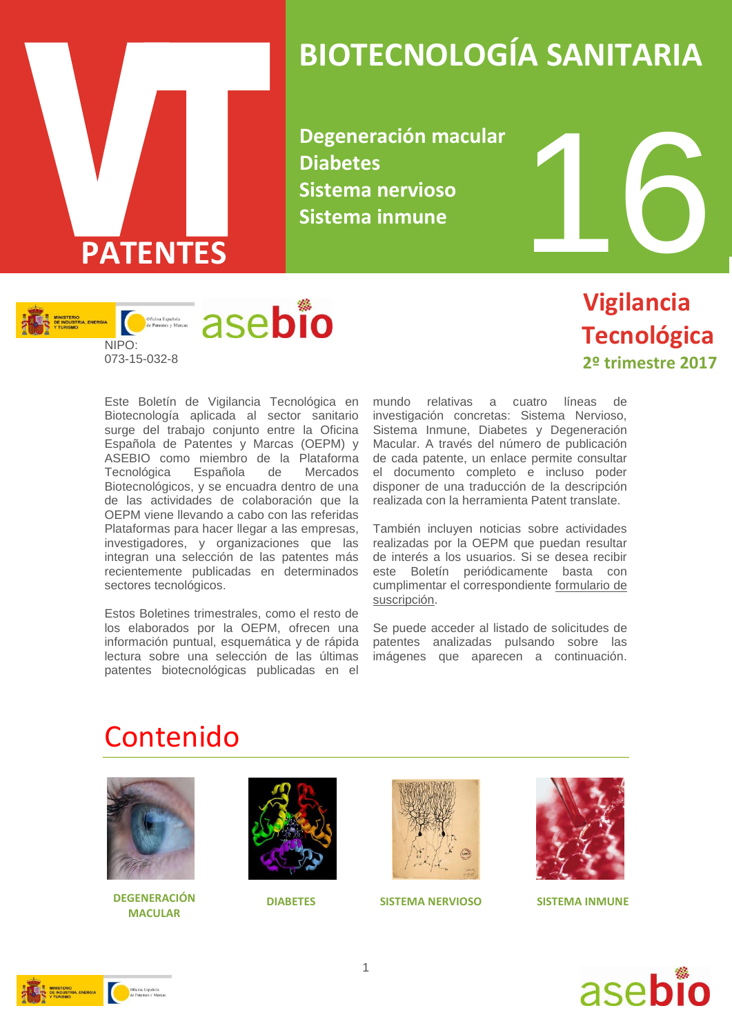

# **BIOTECNOLOGÍA SANITARIA**

**Degeneración macular Diabetes Sistema nervioso Sistema inmune**



#### **Vigilancia Tecnológica 2º trimestre 2017**

Este Boletín de Vigilancia Tecnológica en Biotecnología aplicada al sector sanitario surge del trabajo conjunto entre la Oficina Española de Patentes y Marcas (OEPM) y ASEBIO como miembro de la Plataforma Tecnológica Española de Mercados Biotecnológicos, y se encuadra dentro de una de las actividades de colaboración que la OEPM viene llevando a cabo con las referidas Plataformas para hacer llegar a las empresas, investigadores, y organizaciones que las integran una selección de las patentes más recientemente publicadas en determinados sectores tecnológicos.

Estos Boletines trimestrales, como el resto de los elaborados por la OEPM, ofrecen una información puntual, esquemática y de rápida lectura sobre una selección de las últimas patentes biotecnológicas publicadas en el

mundo relativas a cuatro líneas de investigación concretas: Sistema Nervioso, Sistema Inmune, Diabetes y Degeneración Macular. A través del número de publicación de cada patente, un enlace permite consultar el documento completo e incluso poder disponer de una traducción de la descripción realizada con la herramienta Patent translate.

También incluyen noticias sobre actividades realizadas por la OEPM que puedan resultar de interés a los usuarios. Si se desea recibir este Boletín periódicamente basta con cumplimentar el correspondiente [formulario de](http://www.oepm.es/es/informacion_tecnologica/informacion_gratuita/boletines_de_vigilancia_tecnologica/formulario.html)  [suscripción.](http://www.oepm.es/es/informacion_tecnologica/informacion_gratuita/boletines_de_vigilancia_tecnologica/formulario.html)

Se puede acceder al listado de solicitudes de patentes analizadas pulsando sobre las imágenes que aparecen a continuación.

#### Contenido



**DEGENERACIÓN DIABETES SISTEMA NERVIOSO MACULAR**







**SISTEMA INMUNE**



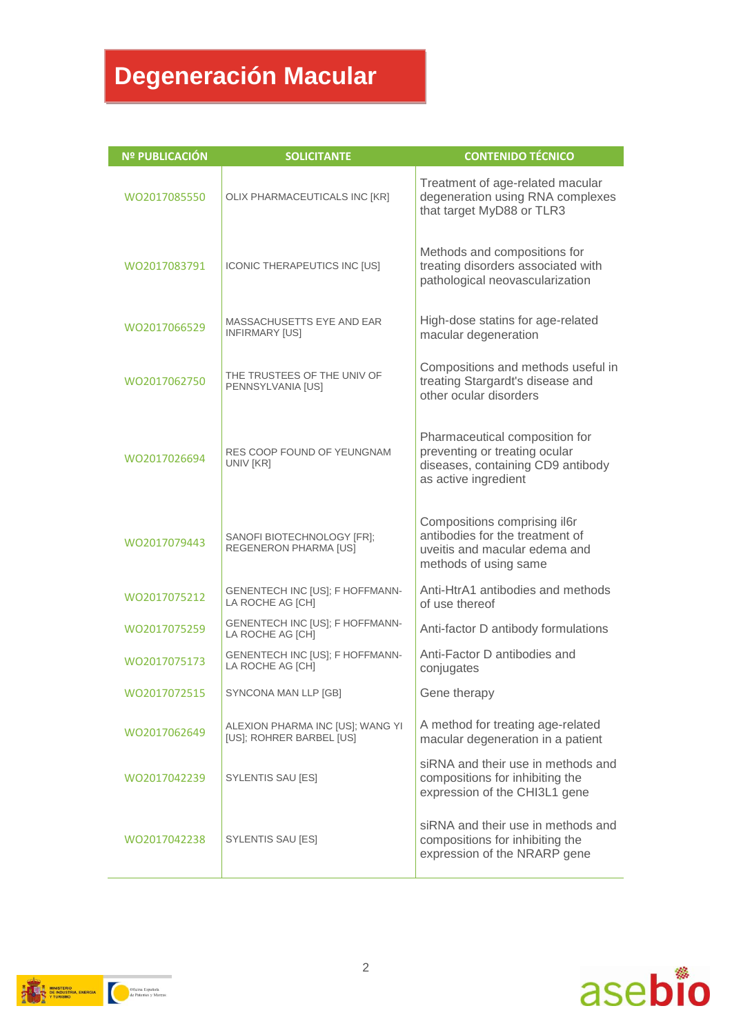# **Degeneración Macular**

| <b>Nº PUBLICACIÓN</b> | <b>SOLICITANTE</b>                                           | <b>CONTENIDO TÉCNICO</b>                                                                                                     |
|-----------------------|--------------------------------------------------------------|------------------------------------------------------------------------------------------------------------------------------|
| WO2017085550          | OLIX PHARMACEUTICALS INC [KR]                                | Treatment of age-related macular<br>degeneration using RNA complexes<br>that target MyD88 or TLR3                            |
| WO2017083791          | ICONIC THERAPEUTICS INC [US]                                 | Methods and compositions for<br>treating disorders associated with<br>pathological neovascularization                        |
| WO2017066529          | MASSACHUSETTS EYE AND EAR<br><b>INFIRMARY [US]</b>           | High-dose statins for age-related<br>macular degeneration                                                                    |
| WO2017062750          | THE TRUSTEES OF THE UNIV OF<br>PENNSYLVANIA [US]             | Compositions and methods useful in<br>treating Stargardt's disease and<br>other ocular disorders                             |
| WO2017026694          | RES COOP FOUND OF YEUNGNAM<br>UNIV [KR]                      | Pharmaceutical composition for<br>preventing or treating ocular<br>diseases, containing CD9 antibody<br>as active ingredient |
| WO2017079443          | SANOFI BIOTECHNOLOGY [FR];<br>REGENERON PHARMA [US]          | Compositions comprising il6r<br>antibodies for the treatment of<br>uveitis and macular edema and<br>methods of using same    |
| WO2017075212          | GENENTECH INC [US]; F HOFFMANN-<br>LA ROCHE AG [CH]          | Anti-HtrA1 antibodies and methods<br>of use thereof                                                                          |
| WO2017075259          | GENENTECH INC [US]; F HOFFMANN-<br>LA ROCHE AG [CH]          | Anti-factor D antibody formulations                                                                                          |
| WO2017075173          | GENENTECH INC [US]; F HOFFMANN-<br>LA ROCHE AG [CH]          | Anti-Factor D antibodies and<br>conjugates                                                                                   |
| WO2017072515          | SYNCONA MAN LLP [GB]                                         | Gene therapy                                                                                                                 |
| WO2017062649          | ALEXION PHARMA INC [US]; WANG YI<br>[US]; ROHRER BARBEL [US] | A method for treating age-related<br>macular degeneration in a patient                                                       |
| WO2017042239          | SYLENTIS SAU [ES]                                            | siRNA and their use in methods and<br>compositions for inhibiting the<br>expression of the CHI3L1 gene                       |
| WO2017042238          | SYLENTIS SAU [ES]                                            | siRNA and their use in methods and<br>compositions for inhibiting the<br>expression of the NRARP gene                        |



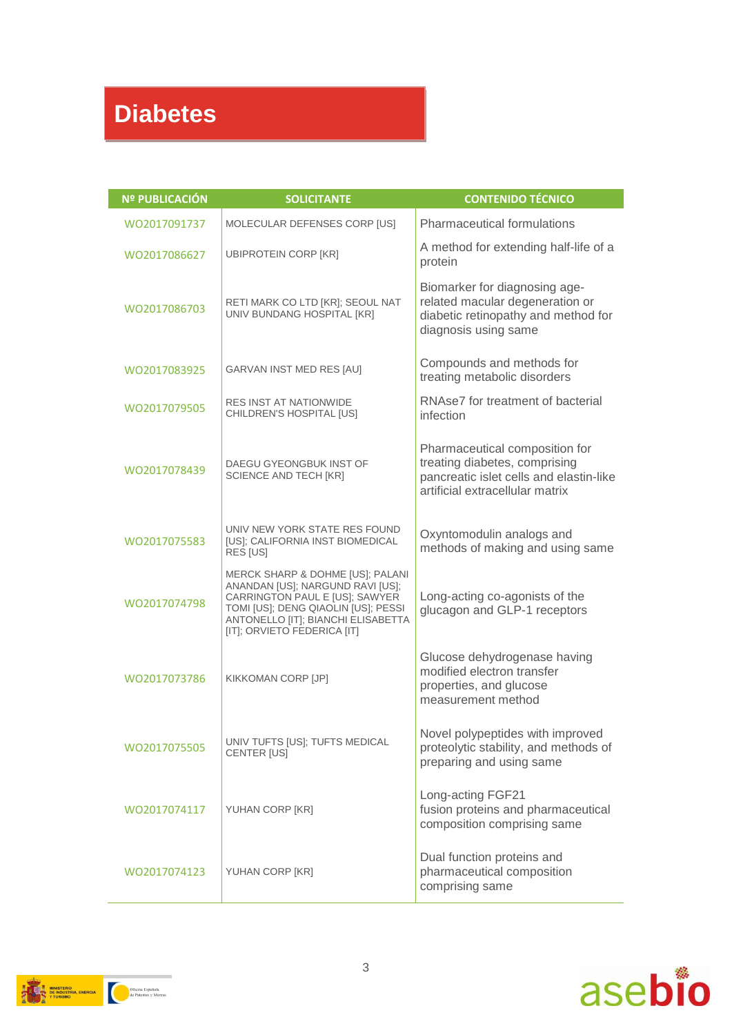## **Diabetes**

| <b>Nº PUBLICACIÓN</b> | <b>SOLICITANTE</b>                                                                                                                                                                                                 | <b>CONTENIDO TÉCNICO</b>                                                                                                                      |
|-----------------------|--------------------------------------------------------------------------------------------------------------------------------------------------------------------------------------------------------------------|-----------------------------------------------------------------------------------------------------------------------------------------------|
| WO2017091737          | MOLECULAR DEFENSES CORP [US]                                                                                                                                                                                       | Pharmaceutical formulations                                                                                                                   |
| WO2017086627          | <b>UBIPROTEIN CORP [KR]</b>                                                                                                                                                                                        | A method for extending half-life of a<br>protein                                                                                              |
| WO2017086703          | RETI MARK CO LTD [KR]; SEOUL NAT<br>UNIV BUNDANG HOSPITAL [KR]                                                                                                                                                     | Biomarker for diagnosing age-<br>related macular degeneration or<br>diabetic retinopathy and method for<br>diagnosis using same               |
| WO2017083925          | GARVAN INST MED RES [AU]                                                                                                                                                                                           | Compounds and methods for<br>treating metabolic disorders                                                                                     |
| WO2017079505          | <b>RES INST AT NATIONWIDE</b><br>CHILDREN'S HOSPITAL [US]                                                                                                                                                          | RNAse7 for treatment of bacterial<br>infection                                                                                                |
| WO2017078439          | DAEGU GYEONGBUK INST OF<br><b>SCIENCE AND TECH [KR]</b>                                                                                                                                                            | Pharmaceutical composition for<br>treating diabetes, comprising<br>pancreatic islet cells and elastin-like<br>artificial extracellular matrix |
| WO2017075583          | UNIV NEW YORK STATE RES FOUND<br>[US]; CALIFORNIA INST BIOMEDICAL<br>RES [US]                                                                                                                                      | Oxyntomodulin analogs and<br>methods of making and using same                                                                                 |
| WO2017074798          | MERCK SHARP & DOHME [US]; PALANI<br>ANANDAN [US]; NARGUND RAVI [US];<br>CARRINGTON PAUL E [US]; SAWYER<br>TOMI [US]; DENG QIAOLIN [US]; PESSI<br>ANTONELLO [IT]; BIANCHI ELISABETTA<br>[IT]; ORVIETO FEDERICA [IT] | Long-acting co-agonists of the<br>glucagon and GLP-1 receptors                                                                                |
| WO2017073786          | KIKKOMAN CORP [JP]                                                                                                                                                                                                 | Glucose dehydrogenase having<br>modified electron transfer<br>properties, and glucose<br>measurement method                                   |
| WO2017075505          | UNIV TUFTS [US]; TUFTS MEDICAL<br><b>CENTER [US]</b>                                                                                                                                                               | Novel polypeptides with improved<br>proteolytic stability, and methods of<br>preparing and using same                                         |
| WO2017074117          | YUHAN CORP [KR]                                                                                                                                                                                                    | Long-acting FGF21<br>fusion proteins and pharmaceutical<br>composition comprising same                                                        |
| WO2017074123          | YUHAN CORP [KR]                                                                                                                                                                                                    | Dual function proteins and<br>pharmaceutical composition<br>comprising same                                                                   |



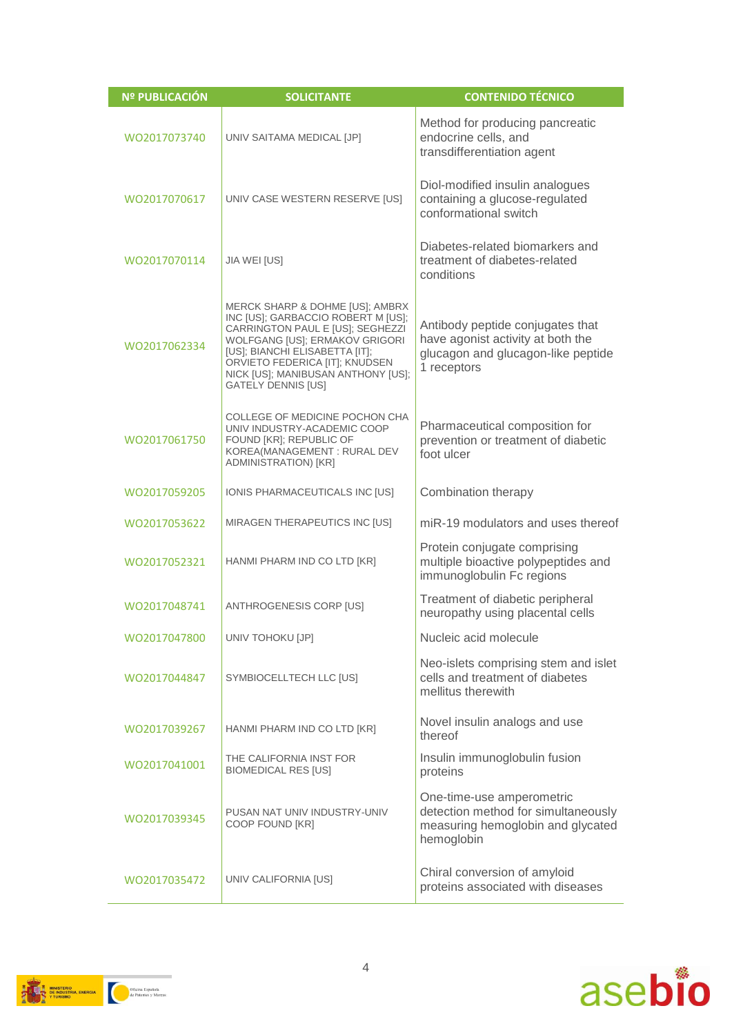| <b>Nº PUBLICACIÓN</b> | <b>SOLICITANTE</b>                                                                                                                                                                                                                                                                 | <b>CONTENIDO TÉCNICO</b>                                                                                                   |
|-----------------------|------------------------------------------------------------------------------------------------------------------------------------------------------------------------------------------------------------------------------------------------------------------------------------|----------------------------------------------------------------------------------------------------------------------------|
| WO2017073740          | UNIV SAITAMA MEDICAL [JP]                                                                                                                                                                                                                                                          | Method for producing pancreatic<br>endocrine cells, and<br>transdifferentiation agent                                      |
| WO2017070617          | UNIV CASE WESTERN RESERVE [US]                                                                                                                                                                                                                                                     | Diol-modified insulin analogues<br>containing a glucose-regulated<br>conformational switch                                 |
| WO2017070114          | JIA WEI [US]                                                                                                                                                                                                                                                                       | Diabetes-related biomarkers and<br>treatment of diabetes-related<br>conditions                                             |
| WO2017062334          | MERCK SHARP & DOHME [US]; AMBRX<br>INC [US]; GARBACCIO ROBERT M [US];<br>CARRINGTON PAUL E [US]; SEGHEZZI<br>WOLFGANG [US]; ERMAKOV GRIGORI<br>[US]; BIANCHI ELISABETTA [IT];<br>ORVIETO FEDERICA [IT]; KNUDSEN<br>NICK [US]; MANIBUSAN ANTHONY [US];<br><b>GATELY DENNIS [US]</b> | Antibody peptide conjugates that<br>have agonist activity at both the<br>glucagon and glucagon-like peptide<br>1 receptors |
| WO2017061750          | <b>COLLEGE OF MEDICINE POCHON CHA</b><br>UNIV INDUSTRY-ACADEMIC COOP<br>FOUND [KR]; REPUBLIC OF<br>KOREA(MANAGEMENT: RURAL DEV<br>ADMINISTRATION) [KR]                                                                                                                             | Pharmaceutical composition for<br>prevention or treatment of diabetic<br>foot ulcer                                        |
| WO2017059205          | IONIS PHARMACEUTICALS INC [US]                                                                                                                                                                                                                                                     | Combination therapy                                                                                                        |
| WO2017053622          | MIRAGEN THERAPEUTICS INC [US]                                                                                                                                                                                                                                                      | miR-19 modulators and uses thereof                                                                                         |
| WO2017052321          | HANMI PHARM IND CO LTD [KR]                                                                                                                                                                                                                                                        | Protein conjugate comprising<br>multiple bioactive polypeptides and<br>immunoglobulin Fc regions                           |
| WO2017048741          | ANTHROGENESIS CORP [US]                                                                                                                                                                                                                                                            | Treatment of diabetic peripheral<br>neuropathy using placental cells                                                       |
| WO2017047800          | UNIV TOHOKU [JP]                                                                                                                                                                                                                                                                   | Nucleic acid molecule                                                                                                      |
| WO2017044847          | SYMBIOCELLTECH LLC [US]                                                                                                                                                                                                                                                            | Neo-islets comprising stem and islet<br>cells and treatment of diabetes<br>mellitus therewith                              |
| WO2017039267          | HANMI PHARM IND CO LTD [KR]                                                                                                                                                                                                                                                        | Novel insulin analogs and use<br>thereof                                                                                   |
| WO2017041001          | THE CALIFORNIA INST FOR<br><b>BIOMEDICAL RES [US]</b>                                                                                                                                                                                                                              | Insulin immunoglobulin fusion<br>proteins                                                                                  |
| WO2017039345          | PUSAN NAT UNIV INDUSTRY-UNIV<br>COOP FOUND [KR]                                                                                                                                                                                                                                    | One-time-use amperometric<br>detection method for simultaneously<br>measuring hemoglobin and glycated<br>hemoglobin        |
| WO2017035472          | UNIV CALIFORNIA [US]                                                                                                                                                                                                                                                               | Chiral conversion of amyloid<br>proteins associated with diseases                                                          |



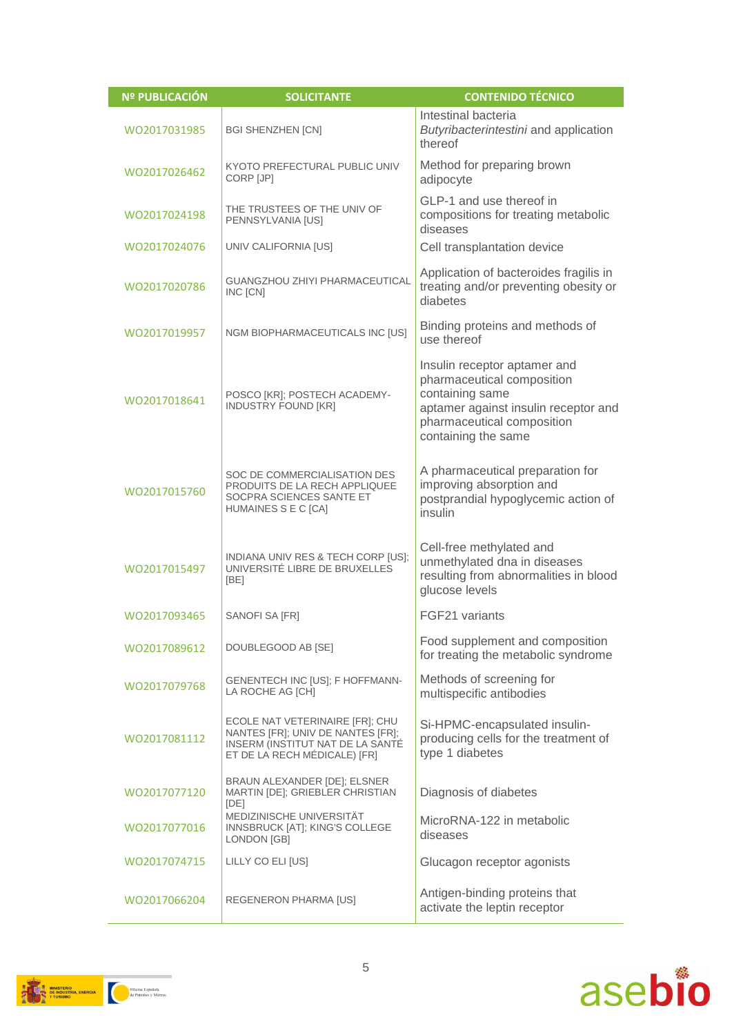| <b>Nº PUBLICACIÓN</b> | <b>SOLICITANTE</b>                                                                                                                       | <b>CONTENIDO TÉCNICO</b>                                                                                                                                                   |
|-----------------------|------------------------------------------------------------------------------------------------------------------------------------------|----------------------------------------------------------------------------------------------------------------------------------------------------------------------------|
| WO2017031985          | <b>BGI SHENZHEN [CN]</b>                                                                                                                 | Intestinal bacteria<br>Butyribacterintestini and application<br>thereof                                                                                                    |
| W02017026462          | KYOTO PREFECTURAL PUBLIC UNIV<br>CORP [JP]                                                                                               | Method for preparing brown<br>adipocyte                                                                                                                                    |
| WO2017024198          | THE TRUSTEES OF THE UNIV OF<br>PENNSYLVANIA [US]                                                                                         | GLP-1 and use thereof in<br>compositions for treating metabolic<br>diseases                                                                                                |
| WQ2017024076          | UNIV CALIFORNIA [US]                                                                                                                     | Cell transplantation device                                                                                                                                                |
| WO2017020786          | <b>GUANGZHOU ZHIYI PHARMACEUTICAL</b><br>INC [CN]                                                                                        | Application of bacteroides fragilis in<br>treating and/or preventing obesity or<br>diabetes                                                                                |
| WO2017019957          | NGM BIOPHARMACEUTICALS INC [US]                                                                                                          | Binding proteins and methods of<br>use thereof                                                                                                                             |
| WO2017018641          | POSCO [KR]; POSTECH ACADEMY-<br><b>INDUSTRY FOUND [KR]</b>                                                                               | Insulin receptor aptamer and<br>pharmaceutical composition<br>containing same<br>aptamer against insulin receptor and<br>pharmaceutical composition<br>containing the same |
| WO2017015760          | SOC DE COMMERCIALISATION DES<br>PRODUITS DE LA RECH APPLIQUEE<br>SOCPRA SCIENCES SANTE ET<br>HUMAINES S E C [CA]                         | A pharmaceutical preparation for<br>improving absorption and<br>postprandial hypoglycemic action of<br>insulin                                                             |
| WO2017015497          | INDIANA UNIV RES & TECH CORP [US];<br>UNIVERSITÉ LIBRE DE BRUXELLES<br>[BE]                                                              | Cell-free methylated and<br>unmethylated dna in diseases<br>resulting from abnormalities in blood<br>glucose levels                                                        |
| WO2017093465          | SANOFI SA [FR]                                                                                                                           | FGF21 variants                                                                                                                                                             |
| WO2017089612          | DOUBLEGOOD AB [SE]                                                                                                                       | Food supplement and composition<br>for treating the metabolic syndrome                                                                                                     |
| WO2017079768          | GENENTECH INC [US]; F HOFFMANN-<br>LA ROCHE AG [CH]                                                                                      | Methods of screening for<br>multispecific antibodies                                                                                                                       |
| WO2017081112          | ECOLE NAT VETERINAIRE [FR]; CHU<br>NANTES [FR]; UNIV DE NANTES [FR];<br>INSERM (INSTITUT NAT DE LA SANTÉ<br>ET DE LA RECH MÉDICALE) [FR] | Si-HPMC-encapsulated insulin-<br>producing cells for the treatment of<br>type 1 diabetes                                                                                   |
| WO2017077120          | BRAUN ALEXANDER [DE]; ELSNER<br>MARTIN [DE]; GRIEBLER CHRISTIAN<br>[DE]                                                                  | Diagnosis of diabetes                                                                                                                                                      |
| WO2017077016          | MEDIZINISCHE UNIVERSITÄT<br>INNSBRUCK [AT]; KING'S COLLEGE<br>LONDON [GB]                                                                | MicroRNA-122 in metabolic<br>diseases                                                                                                                                      |
| WO2017074715          | LILLY CO ELI [US]                                                                                                                        | Glucagon receptor agonists                                                                                                                                                 |
| WO2017066204          | <b>REGENERON PHARMA [US]</b>                                                                                                             | Antigen-binding proteins that<br>activate the leptin receptor                                                                                                              |



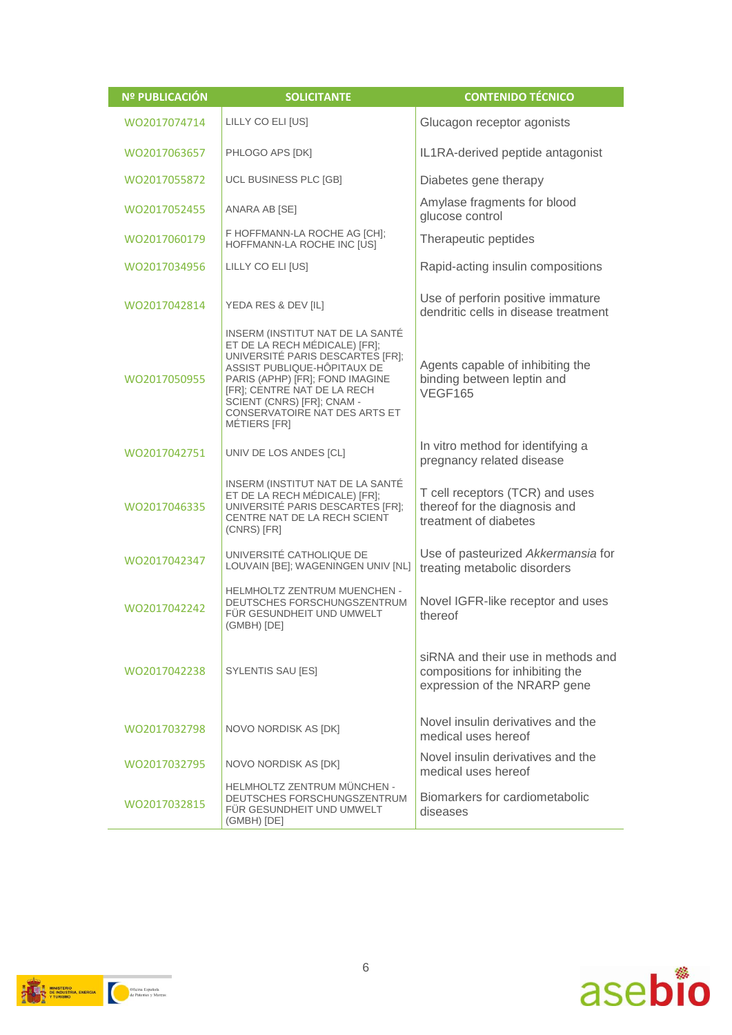| <b>Nº PUBLICACIÓN</b> | <b>SOLICITANTE</b>                                                                                                                                                                                                                                                                    | <b>CONTENIDO TÉCNICO</b>                                                                              |
|-----------------------|---------------------------------------------------------------------------------------------------------------------------------------------------------------------------------------------------------------------------------------------------------------------------------------|-------------------------------------------------------------------------------------------------------|
| WO2017074714          | LILLY CO ELI [US]                                                                                                                                                                                                                                                                     | Glucagon receptor agonists                                                                            |
| WO2017063657          | PHLOGO APS [DK]                                                                                                                                                                                                                                                                       | IL1RA-derived peptide antagonist                                                                      |
| WO2017055872          | UCL BUSINESS PLC [GB]                                                                                                                                                                                                                                                                 | Diabetes gene therapy                                                                                 |
| WO2017052455          | ANARA AB [SE]                                                                                                                                                                                                                                                                         | Amylase fragments for blood<br>glucose control                                                        |
| WO2017060179          | F HOFFMANN-LA ROCHE AG [CH];<br>HOFFMANN-LA ROCHE INC [US]                                                                                                                                                                                                                            | Therapeutic peptides                                                                                  |
| WO2017034956          | LILLY CO ELI [US]                                                                                                                                                                                                                                                                     | Rapid-acting insulin compositions                                                                     |
| WO2017042814          | YEDA RES & DEV [IL]                                                                                                                                                                                                                                                                   | Use of perforin positive immature<br>dendritic cells in disease treatment                             |
| WO2017050955          | INSERM (INSTITUT NAT DE LA SANTÉ<br>ET DE LA RECH MÉDICALE) [FR];<br>UNIVERSITÉ PARIS DESCARTES [FR];<br>ASSIST PUBLIQUE-HÔPITAUX DE<br>PARIS (APHP) [FR]; FOND IMAGINE<br>[FR]; CENTRE NAT DE LA RECH<br>SCIENT (CNRS) [FR]; CNAM -<br>CONSERVATOIRE NAT DES ARTS ET<br>MÉTIERS [FR] | Agents capable of inhibiting the<br>binding between leptin and<br>VEGF165                             |
| WO2017042751          | UNIV DE LOS ANDES [CL]                                                                                                                                                                                                                                                                | In vitro method for identifying a<br>pregnancy related disease                                        |
| WO2017046335          | INSERM (INSTITUT NAT DE LA SANTÉ<br>ET DE LA RECH MÉDICALE) [FR];<br>UNIVERSITÉ PARIS DESCARTES [FR];<br>CENTRE NAT DE LA RECH SCIENT<br>(CNRS) [FR]                                                                                                                                  | T cell receptors (TCR) and uses<br>thereof for the diagnosis and<br>treatment of diabetes             |
| WO2017042347          | UNIVERSITÉ CATHOLIQUE DE<br>LOUVAIN [BE]; WAGENINGEN UNIV [NL]                                                                                                                                                                                                                        | Use of pasteurized Akkermansia for<br>treating metabolic disorders                                    |
| WO2017042242          | <b>HELMHOLTZ ZENTRUM MUENCHEN -</b><br>DEUTSCHES FORSCHUNGSZENTRUM<br>FÜR GESUNDHEIT UND UMWELT<br>(GMBH) [DE]                                                                                                                                                                        | Novel IGFR-like receptor and uses<br>thereof                                                          |
| WO2017042238          | SYLENTIS SAU [ES]                                                                                                                                                                                                                                                                     | siRNA and their use in methods and<br>compositions for inhibiting the<br>expression of the NRARP gene |
| WO2017032798          | NOVO NORDISK AS [DK]                                                                                                                                                                                                                                                                  | Novel insulin derivatives and the<br>medical uses hereof                                              |
| WO2017032795          | NOVO NORDISK AS [DK]                                                                                                                                                                                                                                                                  | Novel insulin derivatives and the<br>medical uses hereof                                              |
| WO2017032815          | HELMHOLTZ ZENTRUM MÜNCHEN -<br>DEUTSCHES FORSCHUNGSZENTRUM<br>FÜR GESUNDHEIT UND UMWELT<br>(GMBH) [DE]                                                                                                                                                                                | Biomarkers for cardiometabolic<br>diseases                                                            |

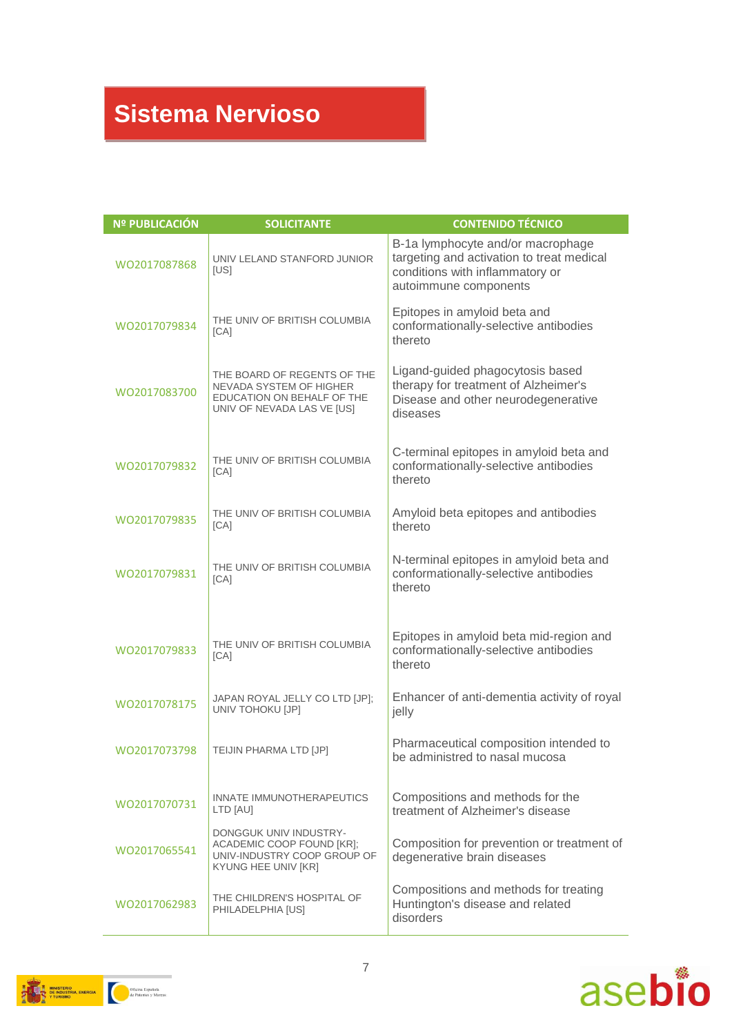#### **Sistema Nervioso**

| <b>Nº PUBLICACIÓN</b> | <b>SOLICITANTE</b>                                                                                                        | <b>CONTENIDO TÉCNICO</b>                                                                                                                   |
|-----------------------|---------------------------------------------------------------------------------------------------------------------------|--------------------------------------------------------------------------------------------------------------------------------------------|
| WO2017087868          | UNIV LELAND STANFORD JUNIOR<br>[US]                                                                                       | B-1a lymphocyte and/or macrophage<br>targeting and activation to treat medical<br>conditions with inflammatory or<br>autoimmune components |
| WO2017079834          | THE UNIV OF BRITISH COLUMBIA<br>[CA]                                                                                      | Epitopes in amyloid beta and<br>conformationally-selective antibodies<br>thereto                                                           |
| WO2017083700          | THE BOARD OF REGENTS OF THE<br><b>NEVADA SYSTEM OF HIGHER</b><br>EDUCATION ON BEHALF OF THE<br>UNIV OF NEVADA LAS VE [US] | Ligand-guided phagocytosis based<br>therapy for treatment of Alzheimer's<br>Disease and other neurodegenerative<br>diseases                |
| WO2017079832          | THE UNIV OF BRITISH COLUMBIA<br>[CA]                                                                                      | C-terminal epitopes in amyloid beta and<br>conformationally-selective antibodies<br>thereto                                                |
| WO2017079835          | THE UNIV OF BRITISH COLUMBIA<br>[CA]                                                                                      | Amyloid beta epitopes and antibodies<br>thereto                                                                                            |
| WO2017079831          | THE UNIV OF BRITISH COLUMBIA<br>[CA]                                                                                      | N-terminal epitopes in amyloid beta and<br>conformationally-selective antibodies<br>thereto                                                |
| WO2017079833          | THE UNIV OF BRITISH COLUMBIA<br>[CA]                                                                                      | Epitopes in amyloid beta mid-region and<br>conformationally-selective antibodies<br>thereto                                                |
| WO2017078175          | JAPAN ROYAL JELLY CO LTD [JP];<br>UNIV TOHOKU [JP]                                                                        | Enhancer of anti-dementia activity of royal<br>jelly                                                                                       |
| WO2017073798          | TEIJIN PHARMA LTD [JP]                                                                                                    | Pharmaceutical composition intended to<br>be administred to nasal mucosa                                                                   |
| WO2017070731          | INNATE IMMUNOTHERAPEUTICS<br>LTD [AU]                                                                                     | Compositions and methods for the<br>treatment of Alzheimer's disease                                                                       |
| WO2017065541          | DONGGUK UNIV INDUSTRY-<br>ACADEMIC COOP FOUND [KR];<br>UNIV-INDUSTRY COOP GROUP OF<br>KYUNG HEE UNIV [KR]                 | Composition for prevention or treatment of<br>degenerative brain diseases                                                                  |
| WO2017062983          | THE CHILDREN'S HOSPITAL OF<br>PHILADELPHIA [US]                                                                           | Compositions and methods for treating<br>Huntington's disease and related<br>disorders                                                     |



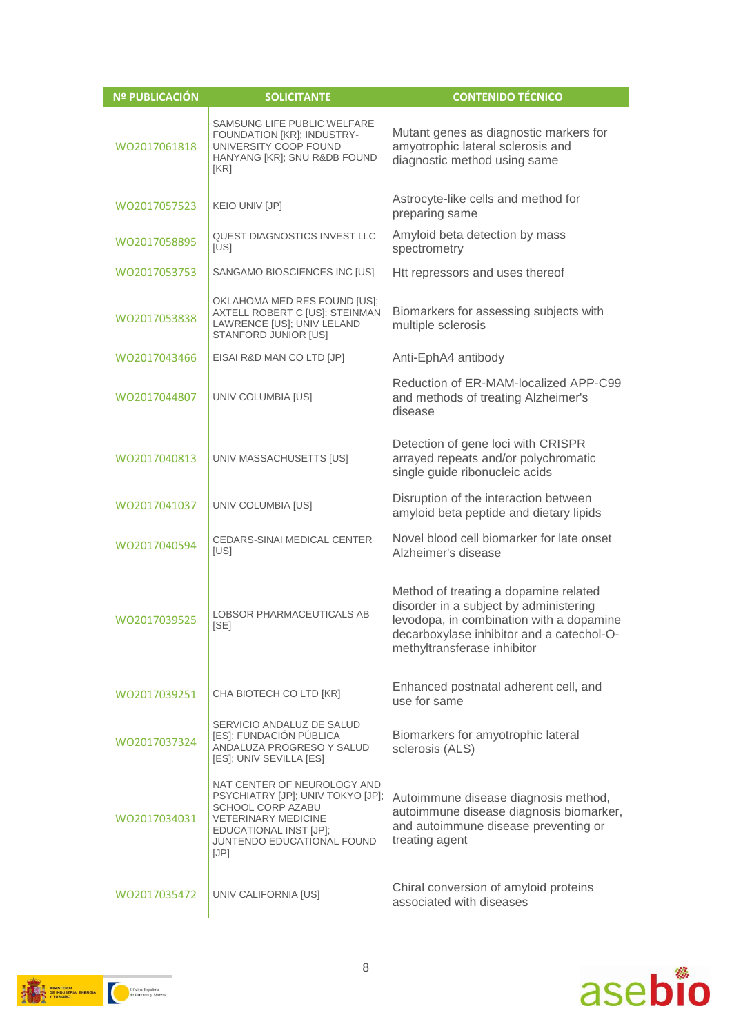| Nº PUBLICACIÓN | <b>SOLICITANTE</b>                                                                                                                                                                         | <b>CONTENIDO TÉCNICO</b>                                                                                                                                                                                |
|----------------|--------------------------------------------------------------------------------------------------------------------------------------------------------------------------------------------|---------------------------------------------------------------------------------------------------------------------------------------------------------------------------------------------------------|
| WO2017061818   | SAMSUNG LIFE PUBLIC WELFARE<br>FOUNDATION [KR]; INDUSTRY-<br>UNIVERSITY COOP FOUND<br>HANYANG [KR]; SNU R&DB FOUND<br>[KR]                                                                 | Mutant genes as diagnostic markers for<br>amyotrophic lateral sclerosis and<br>diagnostic method using same                                                                                             |
| WO2017057523   | KEIO UNIV [JP]                                                                                                                                                                             | Astrocyte-like cells and method for<br>preparing same                                                                                                                                                   |
| WO2017058895   | QUEST DIAGNOSTICS INVEST LLC<br>[US]                                                                                                                                                       | Amyloid beta detection by mass<br>spectrometry                                                                                                                                                          |
| WO2017053753   | SANGAMO BIOSCIENCES INC [US]                                                                                                                                                               | Htt repressors and uses thereof                                                                                                                                                                         |
| WO2017053838   | OKLAHOMA MED RES FOUND [US];<br>AXTELL ROBERT C [US]; STEINMAN<br>LAWRENCE [US]; UNIV LELAND<br>STANFORD JUNIOR [US]                                                                       | Biomarkers for assessing subjects with<br>multiple sclerosis                                                                                                                                            |
| WO2017043466   | EISAI R&D MAN CO LTD [JP]                                                                                                                                                                  | Anti-EphA4 antibody                                                                                                                                                                                     |
| WO2017044807   | UNIV COLUMBIA [US]                                                                                                                                                                         | Reduction of ER-MAM-localized APP-C99<br>and methods of treating Alzheimer's<br>disease                                                                                                                 |
| WO2017040813   | UNIV MASSACHUSETTS [US]                                                                                                                                                                    | Detection of gene loci with CRISPR<br>arrayed repeats and/or polychromatic<br>single guide ribonucleic acids                                                                                            |
| WO2017041037   | UNIV COLUMBIA [US]                                                                                                                                                                         | Disruption of the interaction between<br>amyloid beta peptide and dietary lipids                                                                                                                        |
| WO2017040594   | <b>CEDARS-SINAI MEDICAL CENTER</b><br>[US]                                                                                                                                                 | Novel blood cell biomarker for late onset<br>Alzheimer's disease                                                                                                                                        |
| WO2017039525   | <b>LOBSOR PHARMACEUTICALS AB</b><br>[SE]                                                                                                                                                   | Method of treating a dopamine related<br>disorder in a subject by administering<br>levodopa, in combination with a dopamine<br>decarboxylase inhibitor and a catechol-O-<br>methyltransferase inhibitor |
| WO2017039251   | CHA BIOTECH CO LTD [KR]                                                                                                                                                                    | Enhanced postnatal adherent cell, and<br>use for same                                                                                                                                                   |
| WO2017037324   | SERVICIO ANDALUZ DE SALUD<br>[ES]; FUNDACIÓN PÚBLICA<br>ANDALUZA PROGRESO Y SALUD<br>[ES]; UNIV SEVILLA [ES]                                                                               | Biomarkers for amyotrophic lateral<br>sclerosis (ALS)                                                                                                                                                   |
| WO2017034031   | NAT CENTER OF NEUROLOGY AND<br>PSYCHIATRY [JP]; UNIV TOKYO [JP];<br><b>SCHOOL CORP AZABU</b><br><b>VETERINARY MEDICINE</b><br>EDUCATIONAL INST [JP];<br>JUNTENDO EDUCATIONAL FOUND<br>[JP] | Autoimmune disease diagnosis method,<br>autoimmune disease diagnosis biomarker,<br>and autoimmune disease preventing or<br>treating agent                                                               |
| WO2017035472   | UNIV CALIFORNIA [US]                                                                                                                                                                       | Chiral conversion of amyloid proteins<br>associated with diseases                                                                                                                                       |



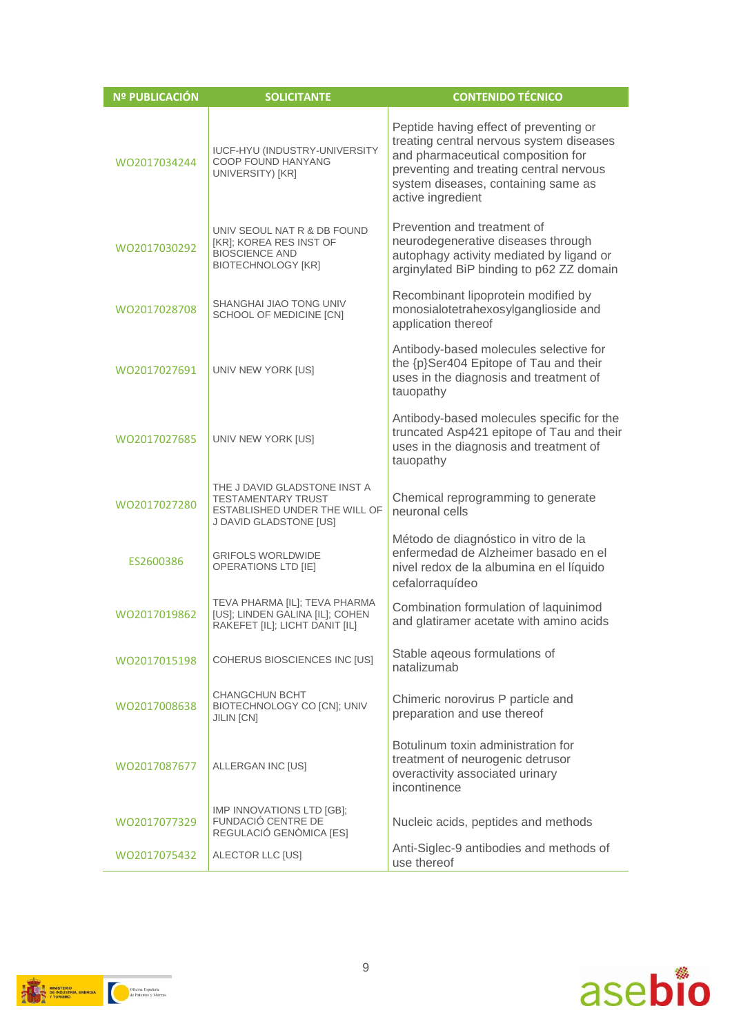| <b>Nº PUBLICACIÓN</b> | <b>SOLICITANTE</b>                                                                                                   | <b>CONTENIDO TÉCNICO</b>                                                                                                                                                                                                        |
|-----------------------|----------------------------------------------------------------------------------------------------------------------|---------------------------------------------------------------------------------------------------------------------------------------------------------------------------------------------------------------------------------|
| WO2017034244          | <b>IUCF-HYU (INDUSTRY-UNIVERSITY</b><br><b>COOP FOUND HANYANG</b><br>UNIVERSITY) [KR]                                | Peptide having effect of preventing or<br>treating central nervous system diseases<br>and pharmaceutical composition for<br>preventing and treating central nervous<br>system diseases, containing same as<br>active ingredient |
| WO2017030292          | UNIV SEOUL NAT R & DB FOUND<br>[KR]; KOREA RES INST OF<br><b>BIOSCIENCE AND</b><br><b>BIOTECHNOLOGY [KR]</b>         | Prevention and treatment of<br>neurodegenerative diseases through<br>autophagy activity mediated by ligand or<br>arginylated BiP binding to p62 ZZ domain                                                                       |
| WO2017028708          | SHANGHAI JIAO TONG UNIV<br>SCHOOL OF MEDICINE [CN]                                                                   | Recombinant lipoprotein modified by<br>monosialotetrahexosylganglioside and<br>application thereof                                                                                                                              |
| WO2017027691          | UNIV NEW YORK [US]                                                                                                   | Antibody-based molecules selective for<br>the {p}Ser404 Epitope of Tau and their<br>uses in the diagnosis and treatment of<br>tauopathy                                                                                         |
| WO2017027685          | UNIV NEW YORK [US]                                                                                                   | Antibody-based molecules specific for the<br>truncated Asp421 epitope of Tau and their<br>uses in the diagnosis and treatment of<br>tauopathy                                                                                   |
| WO2017027280          | THE J DAVID GLADSTONE INST A<br><b>TESTAMENTARY TRUST</b><br>ESTABLISHED UNDER THE WILL OF<br>J DAVID GLADSTONE [US] | Chemical reprogramming to generate<br>neuronal cells                                                                                                                                                                            |
| ES2600386             | <b>GRIFOLS WORLDWIDE</b><br><b>OPERATIONS LTD [IE]</b>                                                               | Método de diagnóstico in vitro de la<br>enfermedad de Alzheimer basado en el<br>nivel redox de la albumina en el líquido<br>cefalorraquídeo                                                                                     |
| WO2017019862          | TEVA PHARMA [IL]; TEVA PHARMA<br>[US]; LINDEN GALINA [IL]; COHEN<br>RAKEFET [IL]; LICHT DANIT [IL]                   | Combination formulation of laquinimod<br>and glatiramer acetate with amino acids                                                                                                                                                |
| WO2017015198          | COHERUS BIOSCIENCES INC [US]                                                                                         | Stable ageous formulations of<br>natalizumab                                                                                                                                                                                    |
| WO2017008638          | <b>CHANGCHUN BCHT</b><br>BIOTECHNOLOGY CO [CN]; UNIV<br>JILIN [CN]                                                   | Chimeric norovirus P particle and<br>preparation and use thereof                                                                                                                                                                |
| WO2017087677          | ALLERGAN INC [US]                                                                                                    | Botulinum toxin administration for<br>treatment of neurogenic detrusor<br>overactivity associated urinary<br>incontinence                                                                                                       |
| WO2017077329          | IMP INNOVATIONS LTD [GB];<br>FUNDACIÓ CENTRE DE<br>REGULACIÓ GENÒMICA [ES]                                           | Nucleic acids, peptides and methods                                                                                                                                                                                             |
| WO2017075432          | ALECTOR LLC [US]                                                                                                     | Anti-Siglec-9 antibodies and methods of<br>use thereof                                                                                                                                                                          |



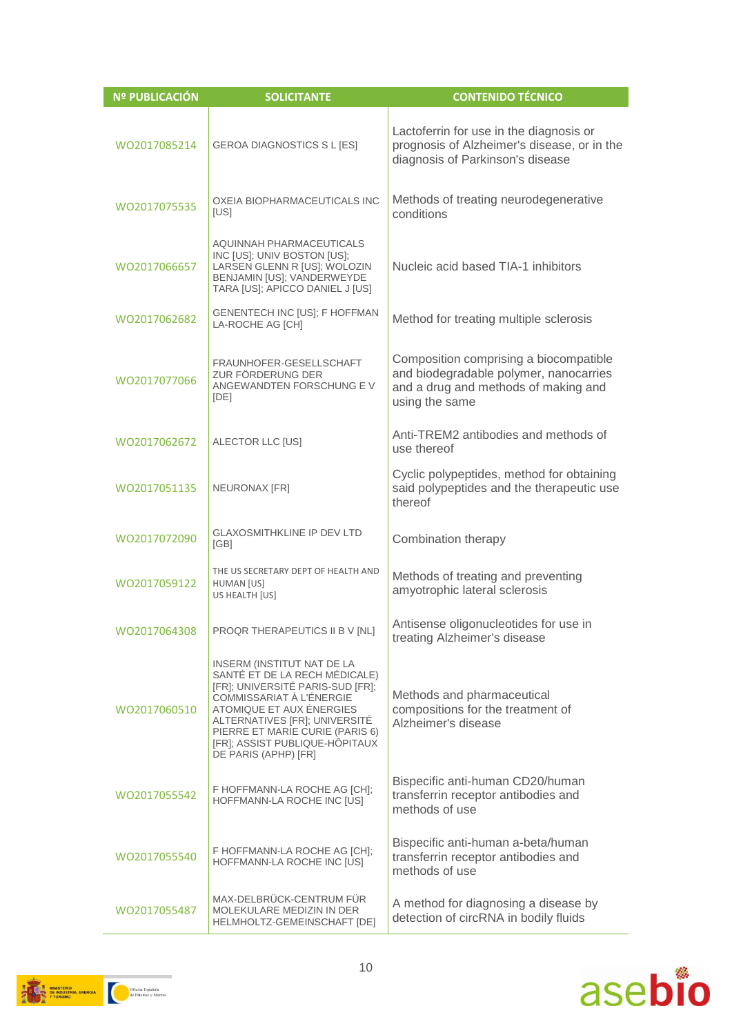| <b>Nº PUBLICACIÓN</b> | <b>SOLICITANTE</b>                                                                                                                                                                                                                                                                    | <b>CONTENIDO TÉCNICO</b>                                                                                                                   |
|-----------------------|---------------------------------------------------------------------------------------------------------------------------------------------------------------------------------------------------------------------------------------------------------------------------------------|--------------------------------------------------------------------------------------------------------------------------------------------|
| WO2017085214          | GEROA DIAGNOSTICS S L [ES]                                                                                                                                                                                                                                                            | Lactoferrin for use in the diagnosis or<br>prognosis of Alzheimer's disease, or in the<br>diagnosis of Parkinson's disease                 |
| WO2017075535          | OXEIA BIOPHARMACEUTICALS INC<br>[US]                                                                                                                                                                                                                                                  | Methods of treating neurodegenerative<br>conditions                                                                                        |
| WO2017066657          | AQUINNAH PHARMACEUTICALS<br>INC [US]; UNIV BOSTON [US];<br>LARSEN GLENN R [US]; WOLOZIN<br>BENJAMIN [US]; VANDERWEYDE<br>TARA [US]; APICCO DANIEL J [US]                                                                                                                              | Nucleic acid based TIA-1 inhibitors                                                                                                        |
| WO2017062682          | GENENTECH INC [US]; F HOFFMAN<br>LA-ROCHE AG [CH]                                                                                                                                                                                                                                     | Method for treating multiple sclerosis                                                                                                     |
| WO2017077066          | FRAUNHOFER-GESELLSCHAFT<br>ZUR FÖRDERUNG DER<br>ANGEWANDTEN FORSCHUNG EV<br>[DE]                                                                                                                                                                                                      | Composition comprising a biocompatible<br>and biodegradable polymer, nanocarries<br>and a drug and methods of making and<br>using the same |
| WO2017062672          | ALECTOR LLC [US]                                                                                                                                                                                                                                                                      | Anti-TREM2 antibodies and methods of<br>use thereof                                                                                        |
| WO2017051135          | NEURONAX [FR]                                                                                                                                                                                                                                                                         | Cyclic polypeptides, method for obtaining<br>said polypeptides and the therapeutic use<br>thereof                                          |
| WO2017072090          | <b>GLAXOSMITHKLINE IP DEV LTD</b><br>[GB]                                                                                                                                                                                                                                             | Combination therapy                                                                                                                        |
| WO2017059122          | THE US SECRETARY DEPT OF HEALTH AND<br>HUMAN [US]<br>US HEALTH [US]                                                                                                                                                                                                                   | Methods of treating and preventing<br>amyotrophic lateral sclerosis                                                                        |
| WO2017064308          | PROQR THERAPEUTICS II B V [NL]                                                                                                                                                                                                                                                        | Antisense oligonucleotides for use in<br>treating Alzheimer's disease                                                                      |
| WO2017060510          | INSERM (INSTITUT NAT DE LA<br>SANTÉ ET DE LA RECH MÉDICALE)<br>[FR]; UNIVERSITÉ PARIS-SUD [FR];<br>COMMISSARIAT À L'ÉNERGIE<br>ATOMIQUE ET AUX ÉNERGIES<br>ALTERNATIVES [FR]; UNIVERSITÉ<br>PIERRE ET MARIE CURIE (PARIS 6)<br>[FR]; ASSIST PUBLIQUE-HÔPITAUX<br>DE PARIS (APHP) [FR] | Methods and pharmaceutical<br>compositions for the treatment of<br>Alzheimer's disease                                                     |
| WO2017055542          | F HOFFMANN-LA ROCHE AG [CH];<br>HOFFMANN-LA ROCHE INC [US]                                                                                                                                                                                                                            | Bispecific anti-human CD20/human<br>transferrin receptor antibodies and<br>methods of use                                                  |
| WO2017055540          | F HOFFMANN-LA ROCHE AG [CH];<br>HOFFMANN-LA ROCHE INC [US]                                                                                                                                                                                                                            | Bispecific anti-human a-beta/human<br>transferrin receptor antibodies and<br>methods of use                                                |
| WO2017055487          | MAX-DELBRÜCK-CENTRUM FÜR<br>MOLEKULARE MEDIZIN IN DER<br>HELMHOLTZ-GEMEINSCHAFT [DE]                                                                                                                                                                                                  | A method for diagnosing a disease by<br>detection of circRNA in bodily fluids                                                              |



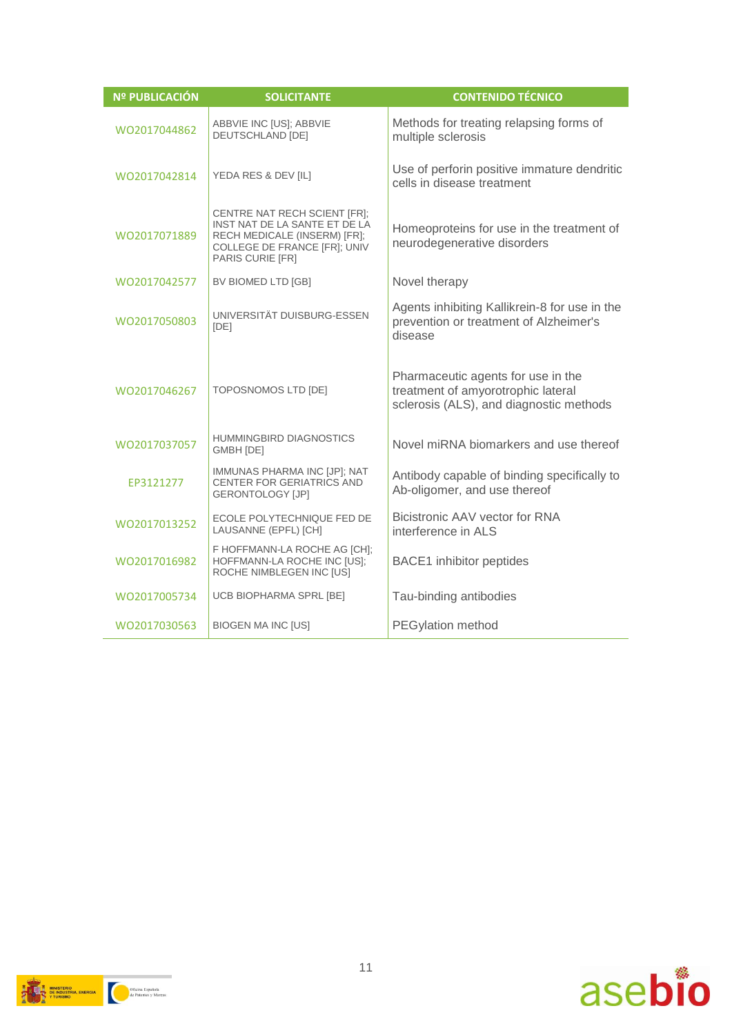| <b>Nº PUBLICACIÓN</b> | <b>SOLICITANTE</b>                                                                                                                                | <b>CONTENIDO TÉCNICO</b>                                                                                            |
|-----------------------|---------------------------------------------------------------------------------------------------------------------------------------------------|---------------------------------------------------------------------------------------------------------------------|
| WO2017044862          | ABBVIE INC [US]; ABBVIE<br><b>DEUTSCHLAND [DE]</b>                                                                                                | Methods for treating relapsing forms of<br>multiple sclerosis                                                       |
| WO2017042814          | YEDA RES & DEV [IL]                                                                                                                               | Use of perforin positive immature dendritic<br>cells in disease treatment                                           |
| WO2017071889          | CENTRE NAT RECH SCIENT [FR];<br>INST NAT DE LA SANTE ET DE LA<br>RECH MEDICALE (INSERM) [FR];<br>COLLEGE DE FRANCE [FR]; UNIV<br>PARIS CURIE [FR] | Homeoproteins for use in the treatment of<br>neurodegenerative disorders                                            |
| WO2017042577          | BV BIOMED LTD [GB]                                                                                                                                | Novel therapy                                                                                                       |
| WO2017050803          | UNIVERSITÄT DUISBURG-ESSEN<br>[DE]                                                                                                                | Agents inhibiting Kallikrein-8 for use in the<br>prevention or treatment of Alzheimer's<br>disease                  |
| WO2017046267          | TOPOSNOMOS LTD [DE]                                                                                                                               | Pharmaceutic agents for use in the<br>treatment of amyorotrophic lateral<br>sclerosis (ALS), and diagnostic methods |
| WO2017037057          | <b>HUMMINGBIRD DIAGNOSTICS</b><br>GMBH [DE]                                                                                                       | Novel miRNA biomarkers and use thereof                                                                              |
| EP3121277             | IMMUNAS PHARMA INC [JP]; NAT<br>CENTER FOR GERIATRICS AND<br><b>GERONTOLOGY [JP]</b>                                                              | Antibody capable of binding specifically to<br>Ab-oligomer, and use thereof                                         |
| WO2017013252          | ECOLE POLYTECHNIQUE FED DE<br>LAUSANNE (EPFL) [CH]                                                                                                | Bicistronic AAV vector for RNA<br>interference in ALS                                                               |
| WO2017016982          | F HOFFMANN-LA ROCHE AG [CH];<br>HOFFMANN-LA ROCHE INC [US];<br>ROCHE NIMBLEGEN INC [US]                                                           | <b>BACE1</b> inhibitor peptides                                                                                     |
| WO2017005734          | UCB BIOPHARMA SPRL [BE]                                                                                                                           | Tau-binding antibodies                                                                                              |
| WO2017030563          | <b>BIOGEN MA INC [US]</b>                                                                                                                         | <b>PEGylation method</b>                                                                                            |



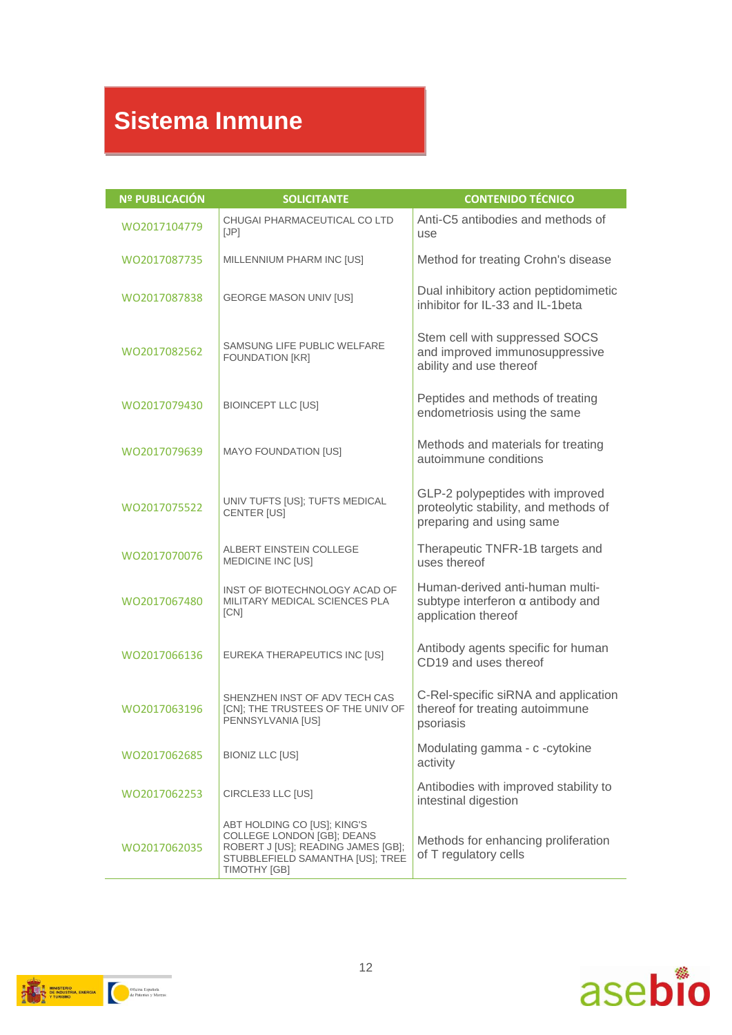### **Sistema Inmune**

| <b>Nº PUBLICACIÓN</b> | <b>SOLICITANTE</b>                                                                                                                                         | <b>CONTENIDO TÉCNICO</b>                                                                              |
|-----------------------|------------------------------------------------------------------------------------------------------------------------------------------------------------|-------------------------------------------------------------------------------------------------------|
| WO2017104779          | CHUGAI PHARMACEUTICAL CO LTD<br>[JP]                                                                                                                       | Anti-C5 antibodies and methods of<br>use                                                              |
| WO2017087735          | MILLENNIUM PHARM INC [US]                                                                                                                                  | Method for treating Crohn's disease                                                                   |
| WO2017087838          | <b>GEORGE MASON UNIV [US]</b>                                                                                                                              | Dual inhibitory action peptidomimetic<br>inhibitor for IL-33 and IL-1beta                             |
| WO2017082562          | SAMSUNG LIFE PUBLIC WELFARE<br><b>FOUNDATION [KR]</b>                                                                                                      | Stem cell with suppressed SOCS<br>and improved immunosuppressive<br>ability and use thereof           |
| WO2017079430          | <b>BIOINCEPT LLC [US]</b>                                                                                                                                  | Peptides and methods of treating<br>endometriosis using the same                                      |
| WO2017079639          | <b>MAYO FOUNDATION [US]</b>                                                                                                                                | Methods and materials for treating<br>autoimmune conditions                                           |
| WO2017075522          | UNIV TUFTS [US]; TUFTS MEDICAL<br><b>CENTER [US]</b>                                                                                                       | GLP-2 polypeptides with improved<br>proteolytic stability, and methods of<br>preparing and using same |
| WO2017070076          | <b>ALBERT EINSTEIN COLLEGE</b><br>MEDICINE INC [US]                                                                                                        | Therapeutic TNFR-1B targets and<br>uses thereof                                                       |
| WO2017067480          | INST OF BIOTECHNOLOGY ACAD OF<br>MILITARY MEDICAL SCIENCES PLA<br>[CN]                                                                                     | Human-derived anti-human multi-<br>subtype interferon $\alpha$ antibody and<br>application thereof    |
| WO2017066136          | EUREKA THERAPEUTICS INC [US]                                                                                                                               | Antibody agents specific for human<br>CD19 and uses thereof                                           |
| WO2017063196          | SHENZHEN INST OF ADV TECH CAS<br>[CN]; THE TRUSTEES OF THE UNIV OF<br>PENNSYLVANIA [US]                                                                    | C-Rel-specific siRNA and application<br>thereof for treating autoimmune<br>psoriasis                  |
| WO2017062685          | <b>BIONIZ LLC [US]</b>                                                                                                                                     | Modulating gamma - c -cytokine<br>activity                                                            |
| WO2017062253          | CIRCLE33 LLC [US]                                                                                                                                          | Antibodies with improved stability to<br>intestinal digestion                                         |
| WO2017062035          | ABT HOLDING CO [US]; KING'S<br>COLLEGE LONDON [GB]; DEANS<br>ROBERT J [US]; READING JAMES [GB];<br>STUBBLEFIELD SAMANTHA [US]; TREE<br><b>TIMOTHY [GB]</b> | Methods for enhancing proliferation<br>of T regulatory cells                                          |

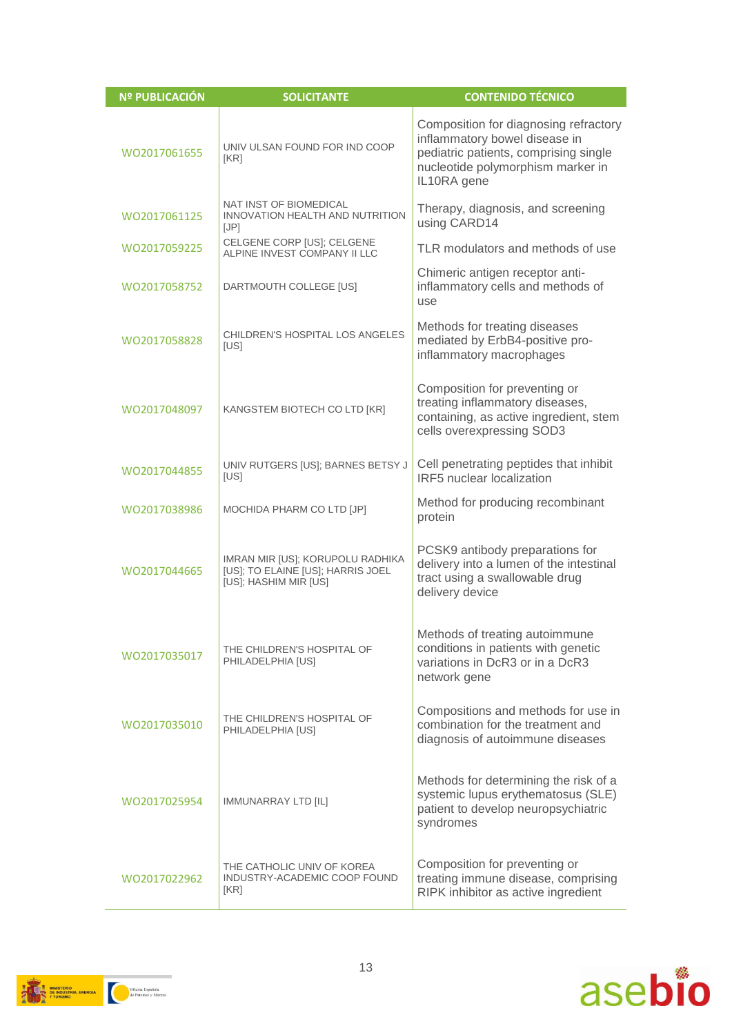| Nº PUBLICACIÓN | <b>SOLICITANTE</b>                                                                             | <b>CONTENIDO TÉCNICO</b>                                                                                                                                            |
|----------------|------------------------------------------------------------------------------------------------|---------------------------------------------------------------------------------------------------------------------------------------------------------------------|
| WO2017061655   | UNIV ULSAN FOUND FOR IND COOP<br>[KR]                                                          | Composition for diagnosing refractory<br>inflammatory bowel disease in<br>pediatric patients, comprising single<br>nucleotide polymorphism marker in<br>IL10RA gene |
| WO2017061125   | NAT INST OF BIOMEDICAL<br>INNOVATION HEALTH AND NUTRITION<br>[JP]                              | Therapy, diagnosis, and screening<br>using CARD14                                                                                                                   |
| WO2017059225   | CELGENE CORP [US]; CELGENE<br>ALPINE INVEST COMPANY II LLC                                     | TLR modulators and methods of use                                                                                                                                   |
| WO2017058752   | DARTMOUTH COLLEGE [US]                                                                         | Chimeric antigen receptor anti-<br>inflammatory cells and methods of<br>use                                                                                         |
| WO2017058828   | CHILDREN'S HOSPITAL LOS ANGELES<br>[US]                                                        | Methods for treating diseases<br>mediated by ErbB4-positive pro-<br>inflammatory macrophages                                                                        |
| WO2017048097   | KANGSTEM BIOTECH CO LTD [KR]                                                                   | Composition for preventing or<br>treating inflammatory diseases,<br>containing, as active ingredient, stem<br>cells overexpressing SOD3                             |
| WO2017044855   | UNIV RUTGERS [US]; BARNES BETSY J<br>[US]                                                      | Cell penetrating peptides that inhibit<br>IRF5 nuclear localization                                                                                                 |
| WO2017038986   | MOCHIDA PHARM CO LTD [JP]                                                                      | Method for producing recombinant<br>protein                                                                                                                         |
| WO2017044665   | IMRAN MIR [US]; KORUPOLU RADHIKA<br>[US]; TO ELAINE [US]; HARRIS JOEL<br>[US]; HASHIM MIR [US] | PCSK9 antibody preparations for<br>delivery into a lumen of the intestinal<br>tract using a swallowable drug<br>delivery device                                     |
| WO2017035017   | THE CHILDREN'S HOSPITAL OF<br>PHILADELPHIA [US]                                                | Methods of treating autoimmune<br>conditions in patients with genetic<br>variations in DcR3 or in a DcR3<br>network gene                                            |
| WO2017035010   | THE CHILDREN'S HOSPITAL OF<br>PHILADELPHIA [US]                                                | Compositions and methods for use in<br>combination for the treatment and<br>diagnosis of autoimmune diseases                                                        |
| WO2017025954   | <b>IMMUNARRAY LTD [IL]</b>                                                                     | Methods for determining the risk of a<br>systemic lupus erythematosus (SLE)<br>patient to develop neuropsychiatric<br>syndromes                                     |
| WO2017022962   | THE CATHOLIC UNIV OF KOREA<br>INDUSTRY-ACADEMIC COOP FOUND<br>[KR]                             | Composition for preventing or<br>treating immune disease, comprising<br>RIPK inhibitor as active ingredient                                                         |



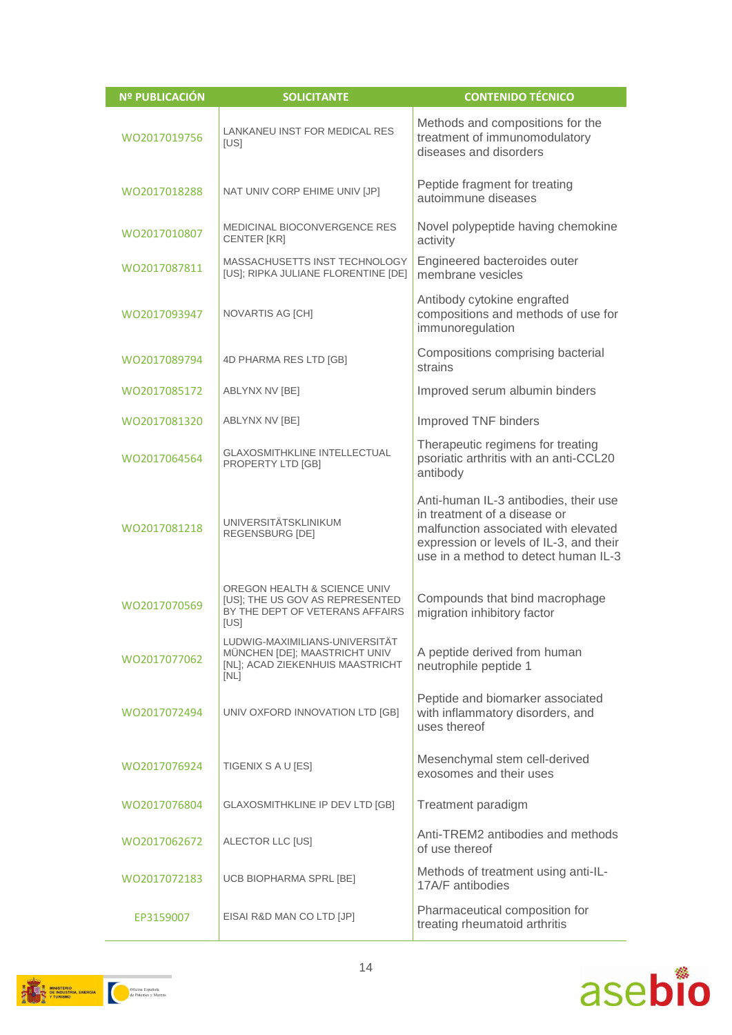| Nº PUBLICACIÓN | <b>SOLICITANTE</b>                                                                                          | <b>CONTENIDO TÉCNICO</b>                                                                                                                                                                         |
|----------------|-------------------------------------------------------------------------------------------------------------|--------------------------------------------------------------------------------------------------------------------------------------------------------------------------------------------------|
| WO2017019756   | LANKANEU INST FOR MEDICAL RES<br>[US]                                                                       | Methods and compositions for the<br>treatment of immunomodulatory<br>diseases and disorders                                                                                                      |
| WO2017018288   | NAT UNIV CORP EHIME UNIV [JP]                                                                               | Peptide fragment for treating<br>autoimmune diseases                                                                                                                                             |
| WO2017010807   | <b>MEDICINAL BIOCONVERGENCE RES</b><br><b>CENTER [KR]</b>                                                   | Novel polypeptide having chemokine<br>activity                                                                                                                                                   |
| WO2017087811   | MASSACHUSETTS INST TECHNOLOGY<br>[US]; RIPKA JULIANE FLORENTINE [DE]                                        | Engineered bacteroides outer<br>membrane vesicles                                                                                                                                                |
| WO2017093947   | NOVARTIS AG [CH]                                                                                            | Antibody cytokine engrafted<br>compositions and methods of use for<br>immunoregulation                                                                                                           |
| WO2017089794   | 4D PHARMA RES LTD [GB]                                                                                      | Compositions comprising bacterial<br>strains                                                                                                                                                     |
| WO2017085172   | ABLYNX NV [BE]                                                                                              | Improved serum albumin binders                                                                                                                                                                   |
| WO2017081320   | ABLYNX NV [BE]                                                                                              | Improved TNF binders                                                                                                                                                                             |
| WO2017064564   | <b>GLAXOSMITHKLINE INTELLECTUAL</b><br>PROPERTY LTD [GB]                                                    | Therapeutic regimens for treating<br>psoriatic arthritis with an anti-CCL20<br>antibody                                                                                                          |
| WO2017081218   | <b>UNIVERSITÄTSKLINIKUM</b><br>REGENSBURG [DE]                                                              | Anti-human IL-3 antibodies, their use<br>in treatment of a disease or<br>malfunction associated with elevated<br>expression or levels of IL-3, and their<br>use in a method to detect human IL-3 |
| WO2017070569   | OREGON HEALTH & SCIENCE UNIV<br>[US]; THE US GOV AS REPRESENTED<br>BY THE DEPT OF VETERANS AFFAIRS<br>[US]  | Compounds that bind macrophage<br>migration inhibitory factor                                                                                                                                    |
| WO2017077062   | LUDWIG-MAXIMILIANS-UNIVERSITÄT<br>MÜNCHEN [DE]; MAASTRICHT UNIV<br>[NL]; ACAD ZIEKENHUIS MAASTRICHT<br>[NL] | A peptide derived from human<br>neutrophile peptide 1                                                                                                                                            |
| WO2017072494   | UNIV OXFORD INNOVATION LTD [GB]                                                                             | Peptide and biomarker associated<br>with inflammatory disorders, and<br>uses thereof                                                                                                             |
| WO2017076924   | TIGENIX S A U [ES]                                                                                          | Mesenchymal stem cell-derived<br>exosomes and their uses                                                                                                                                         |
| WO2017076804   | GLAXOSMITHKLINE IP DEV LTD [GB]                                                                             | Treatment paradigm                                                                                                                                                                               |
| WO2017062672   | ALECTOR LLC [US]                                                                                            | Anti-TREM2 antibodies and methods<br>of use thereof                                                                                                                                              |
| WO2017072183   | UCB BIOPHARMA SPRL [BE]                                                                                     | Methods of treatment using anti-IL-<br>17A/F antibodies                                                                                                                                          |
| EP3159007      | EISAI R&D MAN CO LTD [JP]                                                                                   | Pharmaceutical composition for<br>treating rheumatoid arthritis                                                                                                                                  |



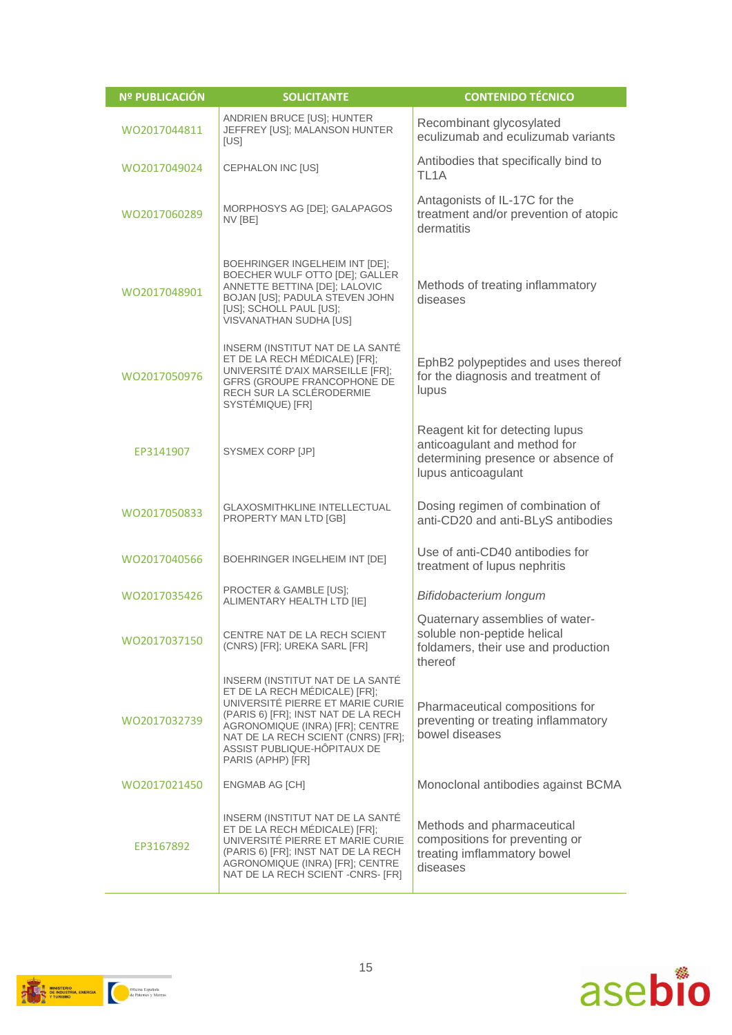| Nº PUBLICACIÓN | <b>SOLICITANTE</b>                                                                                                                                                                                                                                                        | <b>CONTENIDO TÉCNICO</b>                                                                                                     |
|----------------|---------------------------------------------------------------------------------------------------------------------------------------------------------------------------------------------------------------------------------------------------------------------------|------------------------------------------------------------------------------------------------------------------------------|
| WO2017044811   | ANDRIEN BRUCE [US]; HUNTER<br>JEFFREY [US]; MALANSON HUNTER<br>[US]                                                                                                                                                                                                       | Recombinant glycosylated<br>eculizumab and eculizumab variants                                                               |
| WO2017049024   | CEPHALON INC [US]                                                                                                                                                                                                                                                         | Antibodies that specifically bind to<br>TL <sub>1</sub> A                                                                    |
| WO2017060289   | MORPHOSYS AG [DE]; GALAPAGOS<br>NV [BE]                                                                                                                                                                                                                                   | Antagonists of IL-17C for the<br>treatment and/or prevention of atopic<br>dermatitis                                         |
| WO2017048901   | BOEHRINGER INGELHEIM INT [DE];<br>BOECHER WULF OTTO [DE]; GALLER<br>ANNETTE BETTINA [DE]; LALOVIC<br>BOJAN [US]; PADULA STEVEN JOHN<br>[US]; SCHOLL PAUL [US];<br><b>VISVANATHAN SUDHA [US]</b>                                                                           | Methods of treating inflammatory<br>diseases                                                                                 |
| WO2017050976   | INSERM (INSTITUT NAT DE LA SANTÉ<br>ET DE LA RECH MÉDICALE) [FR];<br>UNIVERSITÉ D'AIX MARSEILLE [FR];<br>GFRS (GROUPE FRANCOPHONE DE<br>RECH SUR LA SCLÉRODERMIE<br>SYSTÉMIQUE) [FR]                                                                                      | EphB2 polypeptides and uses thereof<br>for the diagnosis and treatment of<br>lupus                                           |
| EP3141907      | SYSMEX CORP [JP]                                                                                                                                                                                                                                                          | Reagent kit for detecting lupus<br>anticoagulant and method for<br>determining presence or absence of<br>lupus anticoagulant |
| WO2017050833   | <b>GLAXOSMITHKLINE INTELLECTUAL</b><br>PROPERTY MAN LTD [GB]                                                                                                                                                                                                              | Dosing regimen of combination of<br>anti-CD20 and anti-BLyS antibodies                                                       |
| WO2017040566   | BOEHRINGER INGELHEIM INT [DE]                                                                                                                                                                                                                                             | Use of anti-CD40 antibodies for<br>treatment of lupus nephritis                                                              |
| WO2017035426   | PROCTER & GAMBLE [US]:<br>ALIMENTARY HEALTH LTD [IE]                                                                                                                                                                                                                      | Bifidobacterium longum                                                                                                       |
| WO2017037150   | CENTRE NAT DE LA RECH SCIENT<br>(CNRS) [FR]; UREKA SARL [FR]                                                                                                                                                                                                              | Quaternary assemblies of water-<br>soluble non-peptide helical<br>foldamers, their use and production<br>thereof             |
| WO2017032739   | INSERM (INSTITUT NAT DE LA SANTÉ<br>ET DE LA RECH MÉDICALE) [FR];<br>UNIVERSITÉ PIERRE ET MARIE CURIE<br>(PARIS 6) [FR]; INST NAT DE LA RECH<br>AGRONOMIQUE (INRA) [FR]; CENTRE<br>NAT DE LA RECH SCIENT (CNRS) [FR];<br>ASSIST PUBLIQUE-HÖPITAUX DE<br>PARIS (APHP) [FR] | Pharmaceutical compositions for<br>preventing or treating inflammatory<br>bowel diseases                                     |
| WO2017021450   | <b>ENGMAB AG [CH]</b>                                                                                                                                                                                                                                                     | Monoclonal antibodies against BCMA                                                                                           |
| EP3167892      | INSERM (INSTITUT NAT DE LA SANTÉ<br>ET DE LA RECH MÉDICALE) [FR];<br>UNIVERSITÉ PIERRE ET MARIE CURIE<br>(PARIS 6) [FR]; INST NAT DE LA RECH<br>AGRONOMIQUE (INRA) [FR]; CENTRE<br>NAT DE LA RECH SCIENT - CNRS- [FR]                                                     | Methods and pharmaceutical<br>compositions for preventing or<br>treating imflammatory bowel<br>diseases                      |



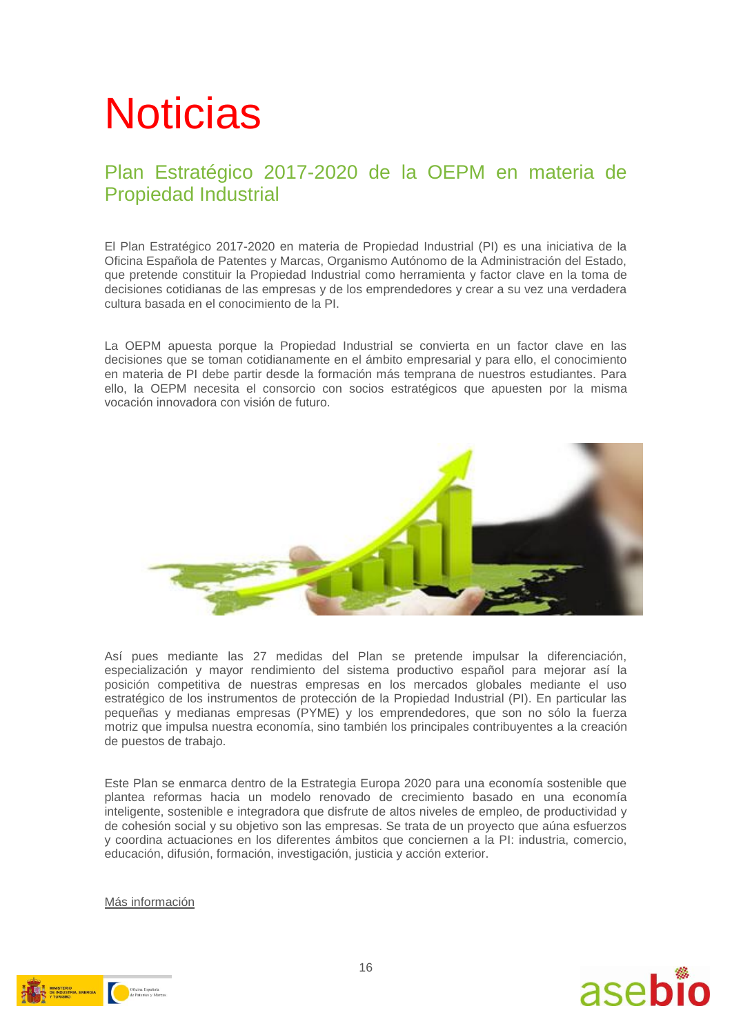# **Noticias**

#### Plan Estratégico 2017-2020 de la OEPM en materia de Propiedad Industrial

El Plan Estratégico 2017-2020 en materia de Propiedad Industrial (PI) es una iniciativa de la Oficina Española de Patentes y Marcas, Organismo Autónomo de la Administración del Estado, que pretende constituir la Propiedad Industrial como herramienta y factor clave en la toma de decisiones cotidianas de las empresas y de los emprendedores y crear a su vez una verdadera cultura basada en el conocimiento de la PI.

La OEPM apuesta porque la Propiedad Industrial se convierta en un factor clave en las decisiones que se toman cotidianamente en el ámbito empresarial y para ello, el conocimiento en materia de PI debe partir desde la formación más temprana de nuestros estudiantes. Para ello, la OEPM necesita el consorcio con socios estratégicos que apuesten por la misma vocación innovadora con visión de futuro.



Así pues mediante las 27 medidas del Plan se pretende impulsar la diferenciación, especialización y mayor rendimiento del sistema productivo español para mejorar así la posición competitiva de nuestras empresas en los mercados globales mediante el uso estratégico de los instrumentos de protección de la Propiedad Industrial (PI). En particular las pequeñas y medianas empresas (PYME) y los emprendedores, que son no sólo la fuerza motriz que impulsa nuestra economía, sino también los principales contribuyentes a la creación de puestos de trabajo.

Este Plan se enmarca dentro de la Estrategia Europa 2020 para una economía sostenible que plantea reformas hacia un modelo renovado de crecimiento basado en una economía inteligente, sostenible e integradora que disfrute de altos niveles de empleo, de productividad y de cohesión social y su objetivo son las empresas. Se trata de un proyecto que aúna esfuerzos y coordina actuaciones en los diferentes ámbitos que conciernen a la PI: industria, comercio, educación, difusión, formación, investigación, justicia y acción exterior.

[Más información](http://www.oepm.es/export/sites/oepm/comun/documentos_relacionados/Noticias/2017/2017_06_01_Plan_Estrategico_2017_2020.pdf)